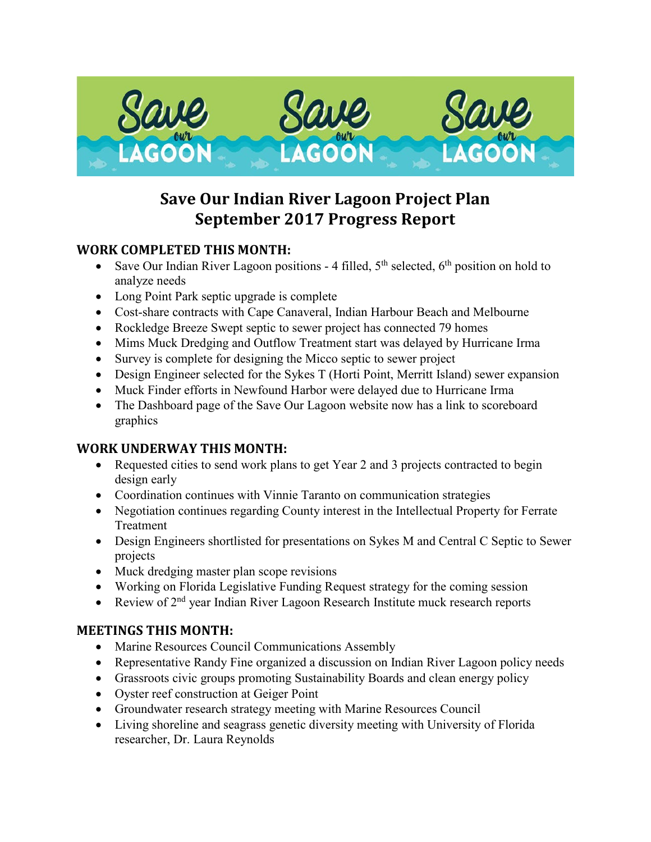

# **Save Our Indian River Lagoon Project Plan September 2017 Progress Report**

#### **WORK COMPLETED THIS MONTH:**

- Save Our Indian River Lagoon positions 4 filled,  $5<sup>th</sup>$  selected,  $6<sup>th</sup>$  position on hold to analyze needs
- Long Point Park septic upgrade is complete
- Cost-share contracts with Cape Canaveral, Indian Harbour Beach and Melbourne
- Rockledge Breeze Swept septic to sewer project has connected 79 homes
- Mims Muck Dredging and Outflow Treatment start was delayed by Hurricane Irma
- Survey is complete for designing the Micco septic to sewer project
- Design Engineer selected for the Sykes T (Horti Point, Merritt Island) sewer expansion
- Muck Finder efforts in Newfound Harbor were delayed due to Hurricane Irma
- The Dashboard page of the Save Our Lagoon website now has a link to scoreboard graphics

#### **WORK UNDERWAY THIS MONTH:**

- Requested cities to send work plans to get Year 2 and 3 projects contracted to begin design early
- Coordination continues with Vinnie Taranto on communication strategies
- Negotiation continues regarding County interest in the Intellectual Property for Ferrate Treatment
- Design Engineers shortlisted for presentations on Sykes M and Central C Septic to Sewer projects
- Muck dredging master plan scope revisions
- Working on Florida Legislative Funding Request strategy for the coming session
- Review of  $2<sup>nd</sup>$  year Indian River Lagoon Research Institute muck research reports

#### **MEETINGS THIS MONTH:**

- Marine Resources Council Communications Assembly
- Representative Randy Fine organized a discussion on Indian River Lagoon policy needs
- Grassroots civic groups promoting Sustainability Boards and clean energy policy
- Oyster reef construction at Geiger Point
- Groundwater research strategy meeting with Marine Resources Council
- Living shoreline and seagrass genetic diversity meeting with University of Florida researcher, Dr. Laura Reynolds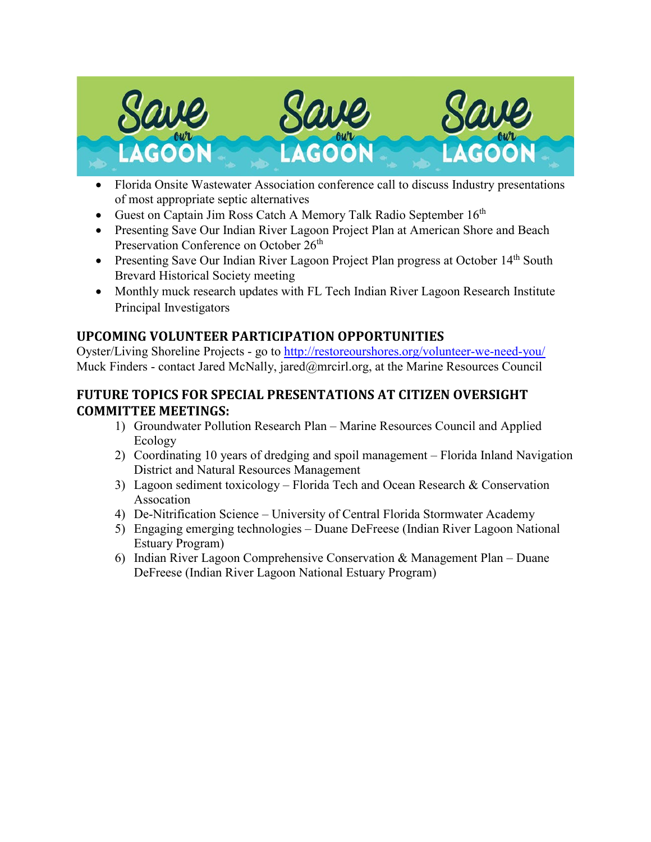

- Florida Onsite Wastewater Association conference call to discuss Industry presentations of most appropriate septic alternatives
- Guest on Captain Jim Ross Catch A Memory Talk Radio September  $16<sup>th</sup>$
- Presenting Save Our Indian River Lagoon Project Plan at American Shore and Beach Preservation Conference on October 26<sup>th</sup>
- Presenting Save Our Indian River Lagoon Project Plan progress at October 14<sup>th</sup> South Brevard Historical Society meeting
- Monthly muck research updates with FL Tech Indian River Lagoon Research Institute Principal Investigators

#### **UPCOMING VOLUNTEER PARTICIPATION OPPORTUNITIES**

Oyster/Living Shoreline Projects - go to<http://restoreourshores.org/volunteer-we-need-you/> Muck Finders - contact Jared McNally, jared@mrcirl.org, at the Marine Resources Council

#### **FUTURE TOPICS FOR SPECIAL PRESENTATIONS AT CITIZEN OVERSIGHT COMMITTEE MEETINGS:**

- 1) Groundwater Pollution Research Plan Marine Resources Council and Applied Ecology
- 2) Coordinating 10 years of dredging and spoil management Florida Inland Navigation District and Natural Resources Management
- 3) Lagoon sediment toxicology Florida Tech and Ocean Research & Conservation Assocation
- 4) De-Nitrification Science University of Central Florida Stormwater Academy
- 5) Engaging emerging technologies Duane DeFreese (Indian River Lagoon National Estuary Program)
- 6) Indian River Lagoon Comprehensive Conservation & Management Plan Duane DeFreese (Indian River Lagoon National Estuary Program)